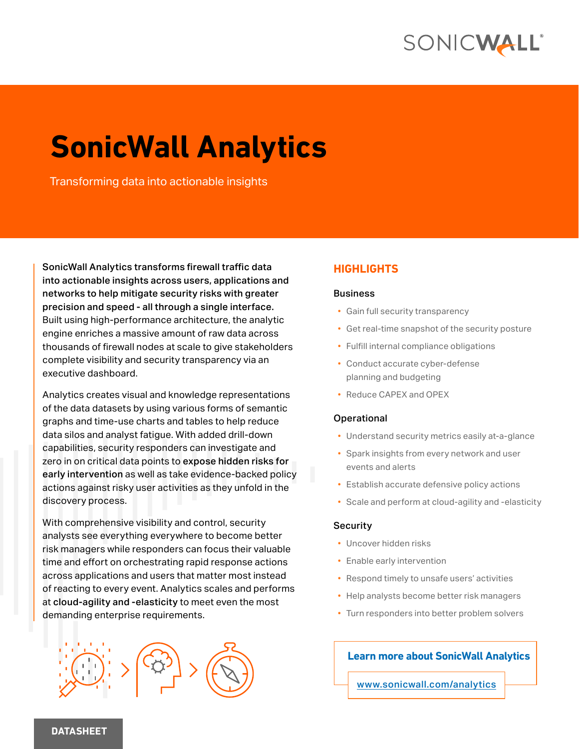

# **SonicWall Analytics**

Transforming data into actionable insights

SonicWall Analytics transforms firewall traffic data into actionable insights across users, applications and networks to help mitigate security risks with greater precision and speed - all through a single interface. Built using high-performance architecture, the analytic engine enriches a massive amount of raw data across thousands of firewall nodes at scale to give stakeholders complete visibility and security transparency via an executive dashboard.

Analytics creates visual and knowledge representations of the data datasets by using various forms of semantic graphs and time-use charts and tables to help reduce data silos and analyst fatigue. With added drill-down capabilities, security responders can investigate and zero in on critical data points to expose hidden risks for early intervention as well as take evidence-backed policy actions against risky user activities as they unfold in the discovery process.

With comprehensive visibility and control, security analysts see everything everywhere to become better risk managers while responders can focus their valuable time and effort on orchestrating rapid response actions across applications and users that matter most instead of reacting to every event. Analytics scales and performs at cloud-agility and -elasticity to meet even the most demanding enterprise requirements.



#### **HIGHLIGHTS**

#### **Business**

- Gain full security transparency
- Get real-time snapshot of the security posture
- Fulfill internal compliance obligations
- Conduct accurate cyber-defense planning and budgeting
- Reduce CAPEX and OPEX

#### Operational

- Understand security metrics easily at-a-glance
- Spark insights from every network and user events and alerts
- Establish accurate defensive policy actions
- Scale and perform at cloud-agility and -elasticity

#### **Security**

- Uncover hidden risks
- Enable early intervention
- Respond timely to unsafe users' activities
- Help analysts become better risk managers
- Turn responders into better problem solvers

#### **Learn more about SonicWall Analytics**

[www.sonicwall.com/analytics](https://www.sonicwall.com/analytics)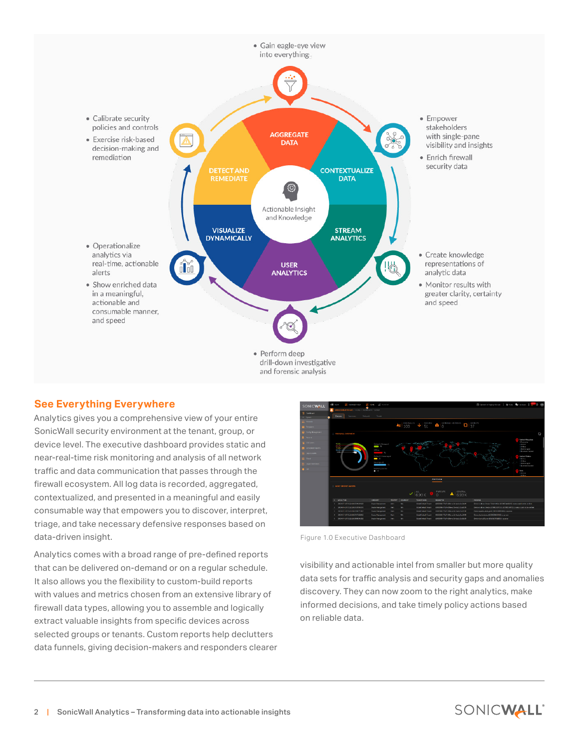

#### **See Everything Everywhere**

Analytics gives you a comprehensive view of your entire SonicWall security environment at the tenant, group, or device level. The executive dashboard provides static and near-real-time risk monitoring and analysis of all network traffic and data communication that passes through the firewall ecosystem. All log data is recorded, aggregated, contextualized, and presented in a meaningful and easily consumable way that empowers you to discover, interpret, triage, and take necessary defensive responses based on data-driven insight.

Analytics comes with a broad range of pre-defined reports that can be delivered on-demand or on a regular schedule. It also allows you the flexibility to custom-build reports with values and metrics chosen from an extensive library of firewall data types, allowing you to assemble and logically extract valuable insights from specific devices across selected groups or tenants. Custom reports help declutters data funnels, giving decision-makers and responders clearer



Figure 1.0 Executive Dashboard

visibility and actionable intel from smaller but more quality data sets for traffic analysis and security gaps and anomalies discovery. They can now zoom to the right analytics, make informed decisions, and take timely policy actions based on reliable data.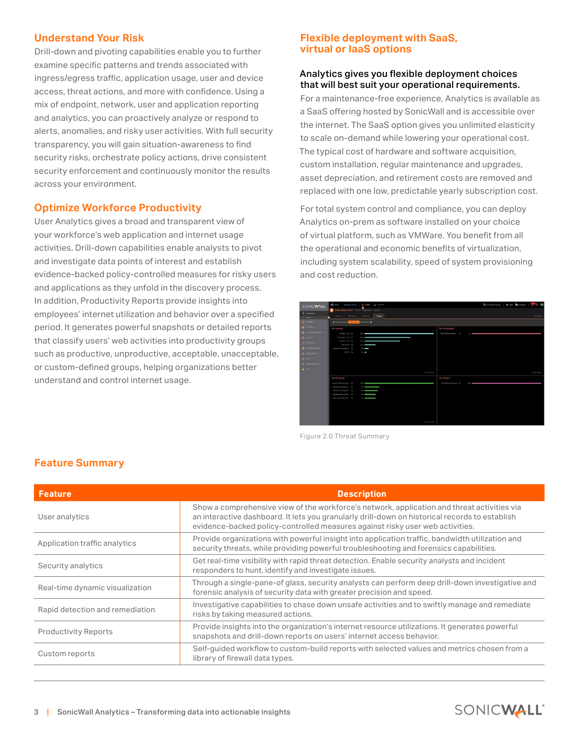#### **Understand Your Risk**

Drill-down and pivoting capabilities enable you to further examine specific patterns and trends associated with ingress/egress traffic, application usage, user and device access, threat actions, and more with confidence. Using a mix of endpoint, network, user and application reporting and analytics, you can proactively analyze or respond to alerts, anomalies, and risky user activities. With full security transparency, you will gain situation-awareness to find security risks, orchestrate policy actions, drive consistent security enforcement and continuously monitor the results across your environment.

#### **Optimize Workforce Productivity**

User Analytics gives a broad and transparent view of your workforce's web application and internet usage activities. Drill-down capabilities enable analysts to pivot and investigate data points of interest and establish evidence-backed policy-controlled measures for risky users and applications as they unfold in the discovery process. In addition, Productivity Reports provide insights into employees' internet utilization and behavior over a specified period. It generates powerful snapshots or detailed reports that classify users' web activities into productivity groups such as productive, unproductive, acceptable, unacceptable, or custom-defined groups, helping organizations better understand and control internet usage.

#### **Flexible deployment with SaaS, virtual or IaaS options**

#### Analytics gives you flexible deployment choices that will best suit your operational requirements.

For a maintenance-free experience, Analytics is available as a SaaS offering hosted by SonicWall and is accessible over the internet. The SaaS option gives you unlimited elasticity to scale on-demand while lowering your operational cost. The typical cost of hardware and software acquisition, custom installation, regular maintenance and upgrades, asset depreciation, and retirement costs are removed and replaced with one low, predictable yearly subscription cost.

For total system control and compliance, you can deploy Analytics on-prem as software installed on your choice of virtual platform, such as VMWare. You benefit from all the operational and economic benefits of virtualization, including system scalability, speed of system provisioning and cost reduction.



Figure 2.0 Threat Summary

| <b>Feature</b>                  | <b>Description</b>                                                                                                                                                                                                                                                             |  |  |
|---------------------------------|--------------------------------------------------------------------------------------------------------------------------------------------------------------------------------------------------------------------------------------------------------------------------------|--|--|
| User analytics                  | Show a comprehensive view of the workforce's network, application and threat activities via<br>an interactive dashboard. It lets you granularly drill-down on historical records to establish<br>evidence-backed policy-controlled measures against risky user web activities. |  |  |
| Application traffic analytics   | Provide organizations with powerful insight into application traffic, bandwidth utilization and<br>security threats, while providing powerful troubleshooting and forensics capabilities.                                                                                      |  |  |
| Security analytics              | Get real-time visibility with rapid threat detection. Enable security analysts and incident<br>responders to hunt, identify and investigate issues.                                                                                                                            |  |  |
| Real-time dynamic visualization | Through a single-pane-of glass, security analysts can perform deep drill-down investigative and<br>forensic analysis of security data with greater precision and speed.                                                                                                        |  |  |
| Rapid detection and remediation | Investigative capabilities to chase down unsafe activities and to swiftly manage and remediate<br>risks by taking measured actions.                                                                                                                                            |  |  |
| <b>Productivity Reports</b>     | Provide insights into the organization's internet resource utilizations. It generates powerful<br>snapshots and drill-down reports on users' internet access behavior.                                                                                                         |  |  |
| Custom reports                  | Self-quided workflow to custom-build reports with selected values and metrics chosen from a<br>library of firewall data types.                                                                                                                                                 |  |  |

### **Feature Summary**

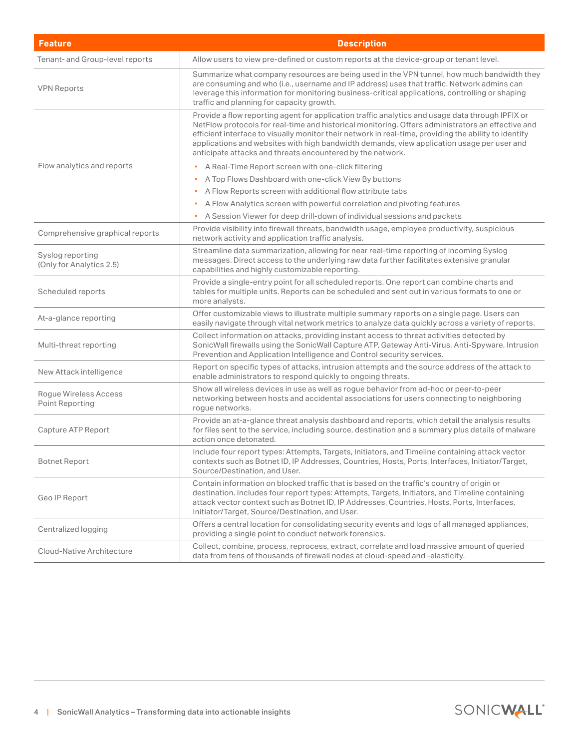| <b>Feature</b>                               | <b>Description</b>                                                                                                                                                                                                                                                                                                                                                                                                                                                         |  |  |
|----------------------------------------------|----------------------------------------------------------------------------------------------------------------------------------------------------------------------------------------------------------------------------------------------------------------------------------------------------------------------------------------------------------------------------------------------------------------------------------------------------------------------------|--|--|
| Tenant- and Group-level reports              | Allow users to view pre-defined or custom reports at the device-group or tenant level.                                                                                                                                                                                                                                                                                                                                                                                     |  |  |
| <b>VPN Reports</b>                           | Summarize what company resources are being used in the VPN tunnel, how much bandwidth they<br>are consuming and who (i.e., username and IP address) uses that traffic. Network admins can<br>leverage this information for monitoring business-critical applications, controlling or shaping<br>traffic and planning for capacity growth.                                                                                                                                  |  |  |
|                                              | Provide a flow reporting agent for application traffic analytics and usage data through IPFIX or<br>NetFlow protocols for real-time and historical monitoring. Offers administrators an effective and<br>efficient interface to visually monitor their network in real-time, providing the ability to identify<br>applications and websites with high bandwidth demands, view application usage per user and<br>anticipate attacks and threats encountered by the network. |  |  |
| Flow analytics and reports                   | A Real-Time Report screen with one-click filtering                                                                                                                                                                                                                                                                                                                                                                                                                         |  |  |
|                                              | A Top Flows Dashboard with one-click View By buttons<br>$\bullet$                                                                                                                                                                                                                                                                                                                                                                                                          |  |  |
|                                              | A Flow Reports screen with additional flow attribute tabs<br>$\bullet$                                                                                                                                                                                                                                                                                                                                                                                                     |  |  |
|                                              | A Flow Analytics screen with powerful correlation and pivoting features<br>$\bullet$                                                                                                                                                                                                                                                                                                                                                                                       |  |  |
|                                              | A Session Viewer for deep drill-down of individual sessions and packets<br>٠                                                                                                                                                                                                                                                                                                                                                                                               |  |  |
| Comprehensive graphical reports              | Provide visibility into firewall threats, bandwidth usage, employee productivity, suspicious<br>network activity and application traffic analysis.                                                                                                                                                                                                                                                                                                                         |  |  |
| Syslog reporting<br>(Only for Analytics 2.5) | Streamline data summarization, allowing for near real-time reporting of incoming Syslog<br>messages. Direct access to the underlying raw data further facilitates extensive granular<br>capabilities and highly customizable reporting.                                                                                                                                                                                                                                    |  |  |
| Scheduled reports                            | Provide a single-entry point for all scheduled reports. One report can combine charts and<br>tables for multiple units. Reports can be scheduled and sent out in various formats to one or<br>more analysts.                                                                                                                                                                                                                                                               |  |  |
| At-a-glance reporting                        | Offer customizable views to illustrate multiple summary reports on a single page. Users can<br>easily navigate through vital network metrics to analyze data quickly across a variety of reports.                                                                                                                                                                                                                                                                          |  |  |
| Multi-threat reporting                       | Collect information on attacks, providing instant access to threat activities detected by<br>SonicWall firewalls using the SonicWall Capture ATP, Gateway Anti-Virus, Anti-Spyware, Intrusion<br>Prevention and Application Intelligence and Control security services.                                                                                                                                                                                                    |  |  |
| New Attack intelligence                      | Report on specific types of attacks, intrusion attempts and the source address of the attack to<br>enable administrators to respond quickly to ongoing threats.                                                                                                                                                                                                                                                                                                            |  |  |
| Rogue Wireless Access<br>Point Reporting     | Show all wireless devices in use as well as rogue behavior from ad-hoc or peer-to-peer<br>networking between hosts and accidental associations for users connecting to neighboring<br>rogue networks.                                                                                                                                                                                                                                                                      |  |  |
| Capture ATP Report                           | Provide an at-a-glance threat analysis dashboard and reports, which detail the analysis results<br>for files sent to the service, including source, destination and a summary plus details of malware<br>action once detonated.                                                                                                                                                                                                                                            |  |  |
| <b>Botnet Report</b>                         | Include four report types: Attempts, Targets, Initiators, and Timeline containing attack vector<br>contexts such as Botnet ID, IP Addresses, Countries, Hosts, Ports, Interfaces, Initiator/Target,<br>Source/Destination, and User.                                                                                                                                                                                                                                       |  |  |
| Geo IP Report                                | Contain information on blocked traffic that is based on the traffic's country of origin or<br>destination. Includes four report types: Attempts, Targets, Initiators, and Timeline containing<br>attack vector context such as Botnet ID, IP Addresses, Countries, Hosts, Ports, Interfaces,<br>Initiator/Target, Source/Destination, and User.                                                                                                                            |  |  |
| Centralized logging                          | Offers a central location for consolidating security events and logs of all managed appliances,<br>providing a single point to conduct network forensics.                                                                                                                                                                                                                                                                                                                  |  |  |
| Cloud-Native Architecture                    | Collect, combine, process, reprocess, extract, correlate and load massive amount of queried<br>data from tens of thousands of firewall nodes at cloud-speed and -elasticity.                                                                                                                                                                                                                                                                                               |  |  |

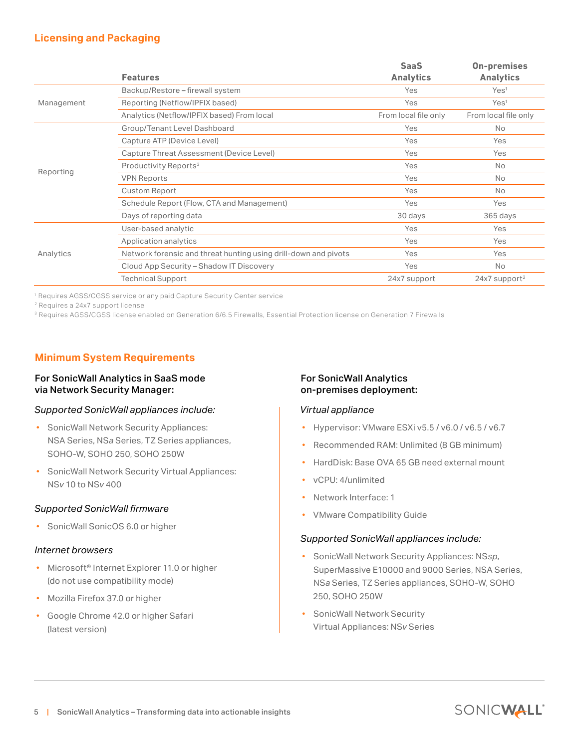#### **Licensing and Packaging**

|            | <b>Features</b>                                                 | <b>SaaS</b><br><b>Analytics</b> | <b>On-premises</b><br><b>Analytics</b> |
|------------|-----------------------------------------------------------------|---------------------------------|----------------------------------------|
| Management | Backup/Restore - firewall system                                | Yes                             | Yes <sup>1</sup>                       |
|            | Reporting (Netflow/IPFIX based)                                 | Yes                             | Yes <sup>1</sup>                       |
|            | Analytics (Netflow/IPFIX based) From local                      | From local file only            | From local file only                   |
| Reporting  | Group/Tenant Level Dashboard                                    | Yes                             | <b>No</b>                              |
|            | Capture ATP (Device Level)                                      | Yes                             | Yes                                    |
|            | Capture Threat Assessment (Device Level)                        | Yes                             | Yes                                    |
|            | Productivity Reports <sup>3</sup>                               | Yes                             | No                                     |
|            | <b>VPN Reports</b>                                              | Yes                             | No                                     |
|            | Custom Report                                                   | Yes                             | No                                     |
|            | Schedule Report (Flow, CTA and Management)                      | Yes                             | Yes                                    |
|            | Days of reporting data                                          | 30 days                         | 365 days                               |
| Analytics  | User-based analytic                                             | Yes                             | Yes                                    |
|            | Application analytics                                           | Yes                             | Yes                                    |
|            | Network forensic and threat hunting using drill-down and pivots | Yes                             | Yes                                    |
|            | Cloud App Security - Shadow IT Discovery                        | Yes                             | No                                     |
|            | <b>Technical Support</b>                                        | 24x7 support                    | $24x7$ support <sup>2</sup>            |

1 Requires AGSS/CGSS service or any paid Capture Security Center service

2 Requires a 24x7 support license

<sup>3</sup> Requires AGSS/CGSS license enabled on Generation 6/6.5 Firewalls, Essential Protection license on Generation 7 Firewalls

#### **Minimum System Requirements**

#### For SonicWall Analytics in SaaS mode via Network Security Manager:

#### *Supported SonicWall appliances include:*

- SonicWall Network Security Appliances: NSA Series, NS*a* Series, TZ Series appliances, SOHO-W, SOHO 250, SOHO 250W
- SonicWall Network Security Virtual Appliances: NS*v* 10 to NS*v* 400

#### *Supported SonicWall firmware*

• SonicWall SonicOS 6.0 or higher

#### *Internet browsers*

- Microsoft<sup>®</sup> Internet Explorer 11.0 or higher (do not use compatibility mode)
- Mozilla Firefox 37.0 or higher
- Google Chrome 42.0 or higher Safari (latest version)

#### For SonicWall Analytics on-premises deployment:

#### *Virtual appliance*

- Hypervisor: VMware ESXi v5.5 / v6.0 / v6.5 / v6.7
- Recommended RAM: Unlimited (8 GB minimum)
- HardDisk: Base OVA 65 GB need external mount
- vCPU: 4/unlimited
- Network Interface: 1
- VMware Compatibility Guide

#### *Supported SonicWall appliances include:*

- SonicWall Network Security Appliances: NS*sp*, SuperMassive E10000 and 9000 Series, NSA Series, NS*a* Series, TZ Series appliances, SOHO-W, SOHO 250, SOHO 250W
- SonicWall Network Security Virtual Appliances: NS*v* Series